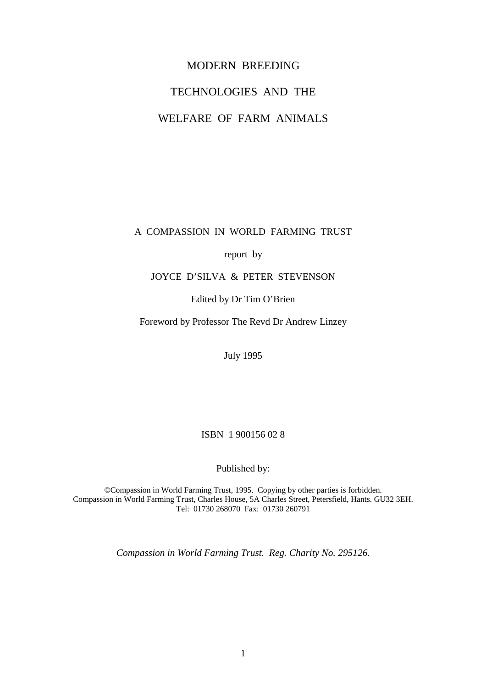# MODERN BREEDING TECHNOLOGIES AND THE WELFARE OF FARM ANIMALS

A COMPASSION IN WORLD FARMING TRUST

report by

## JOYCE D'SILVA & PETER STEVENSON

#### Edited by Dr Tim O'Brien

Foreword by Professor The Revd Dr Andrew Linzey

July 1995

## ISBN 1 900156 02 8

Published by:

©Compassion in World Farming Trust, 1995. Copying by other parties is forbidden. Compassion in World Farming Trust, Charles House, 5A Charles Street, Petersfield, Hants. GU32 3EH. Tel: 01730 268070 Fax: 01730 260791

*Compassion in World Farming Trust. Reg. Charity No. 295126.*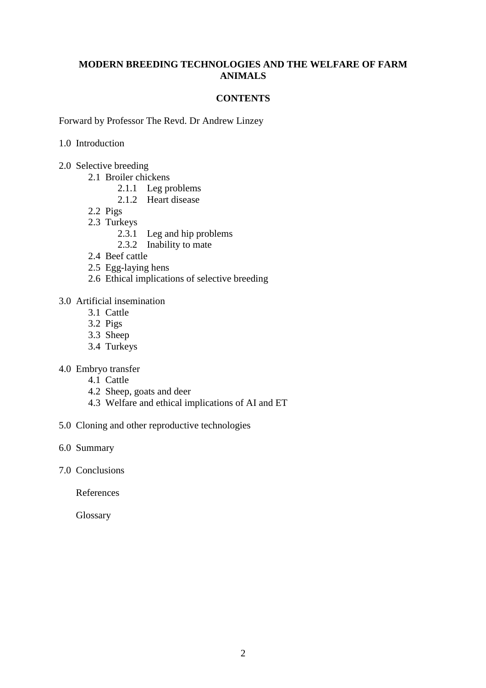#### **MODERN BREEDING TECHNOLOGIES AND THE WELFARE OF FARM ANIMALS**

#### **CONTENTS**

Forward by Professor The Revd. Dr Andrew Linzey

#### 1.0 Introduction

- 2.0 Selective breeding
	- 2.1 Broiler chickens
		- 2.1.1 Leg problems
		- 2.1.2 Heart disease
	- 2.2 Pigs
	- 2.3 Turkeys
		- 2.3.1 Leg and hip problems
		- 2.3.2 Inability to mate
	- 2.4 Beef cattle
	- 2.5 Egg-laying hens
	- 2.6 Ethical implications of selective breeding

## 3.0 Artificial insemination

- 3.1 Cattle
- 3.2 Pigs
- 3.3 Sheep
- 3.4 Turkeys
- 4.0 Embryo transfer
	- 4.1 Cattle
	- 4.2 Sheep, goats and deer
	- 4.3 Welfare and ethical implications of AI and ET
- 5.0 Cloning and other reproductive technologies
- 6.0 Summary
- 7.0 Conclusions

References

**Glossary**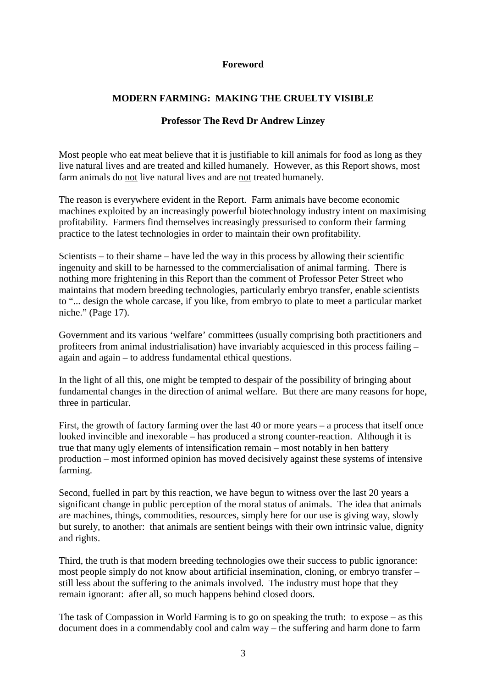#### **Foreword**

## **MODERN FARMING: MAKING THE CRUELTY VISIBLE**

#### **Professor The Revd Dr Andrew Linzey**

Most people who eat meat believe that it is justifiable to kill animals for food as long as they live natural lives and are treated and killed humanely. However, as this Report shows, most farm animals do not live natural lives and are not treated humanely.

The reason is everywhere evident in the Report. Farm animals have become economic machines exploited by an increasingly powerful biotechnology industry intent on maximising profitability. Farmers find themselves increasingly pressurised to conform their farming practice to the latest technologies in order to maintain their own profitability.

Scientists – to their shame – have led the way in this process by allowing their scientific ingenuity and skill to be harnessed to the commercialisation of animal farming. There is nothing more frightening in this Report than the comment of Professor Peter Street who maintains that modern breeding technologies, particularly embryo transfer, enable scientists to "... design the whole carcase, if you like, from embryo to plate to meet a particular market niche." (Page 17).

Government and its various 'welfare' committees (usually comprising both practitioners and profiteers from animal industrialisation) have invariably acquiesced in this process failing – again and again – to address fundamental ethical questions.

In the light of all this, one might be tempted to despair of the possibility of bringing about fundamental changes in the direction of animal welfare. But there are many reasons for hope, three in particular.

First, the growth of factory farming over the last 40 or more years – a process that itself once looked invincible and inexorable – has produced a strong counter-reaction. Although it is true that many ugly elements of intensification remain – most notably in hen battery production – most informed opinion has moved decisively against these systems of intensive farming.

Second, fuelled in part by this reaction, we have begun to witness over the last 20 years a significant change in public perception of the moral status of animals. The idea that animals are machines, things, commodities, resources, simply here for our use is giving way, slowly but surely, to another: that animals are sentient beings with their own intrinsic value, dignity and rights.

Third, the truth is that modern breeding technologies owe their success to public ignorance: most people simply do not know about artificial insemination, cloning, or embryo transfer – still less about the suffering to the animals involved. The industry must hope that they remain ignorant: after all, so much happens behind closed doors.

The task of Compassion in World Farming is to go on speaking the truth: to expose – as this document does in a commendably cool and calm way – the suffering and harm done to farm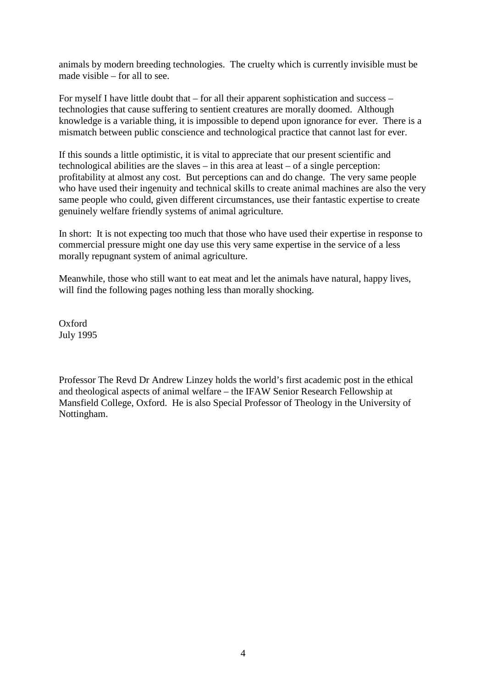animals by modern breeding technologies. The cruelty which is currently invisible must be made visible – for all to see.

For myself I have little doubt that – for all their apparent sophistication and success – technologies that cause suffering to sentient creatures are morally doomed. Although knowledge is a variable thing, it is impossible to depend upon ignorance for ever. There is a mismatch between public conscience and technological practice that cannot last for ever.

If this sounds a little optimistic, it is vital to appreciate that our present scientific and technological abilities are the slaves – in this area at least – of a single perception: profitability at almost any cost. But perceptions can and do change. The very same people who have used their ingenuity and technical skills to create animal machines are also the very same people who could, given different circumstances, use their fantastic expertise to create genuinely welfare friendly systems of animal agriculture.

In short: It is not expecting too much that those who have used their expertise in response to commercial pressure might one day use this very same expertise in the service of a less morally repugnant system of animal agriculture.

Meanwhile, those who still want to eat meat and let the animals have natural, happy lives, will find the following pages nothing less than morally shocking.

Oxford July 1995

Professor The Revd Dr Andrew Linzey holds the world's first academic post in the ethical and theological aspects of animal welfare – the IFAW Senior Research Fellowship at Mansfield College, Oxford. He is also Special Professor of Theology in the University of Nottingham.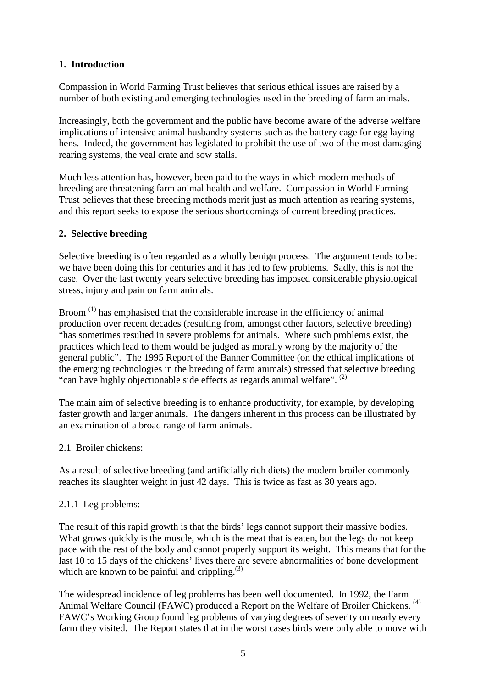# **1. Introduction**

Compassion in World Farming Trust believes that serious ethical issues are raised by a number of both existing and emerging technologies used in the breeding of farm animals.

Increasingly, both the government and the public have become aware of the adverse welfare implications of intensive animal husbandry systems such as the battery cage for egg laying hens. Indeed, the government has legislated to prohibit the use of two of the most damaging rearing systems, the veal crate and sow stalls.

Much less attention has, however, been paid to the ways in which modern methods of breeding are threatening farm animal health and welfare. Compassion in World Farming Trust believes that these breeding methods merit just as much attention as rearing systems, and this report seeks to expose the serious shortcomings of current breeding practices.

# **2. Selective breeding**

Selective breeding is often regarded as a wholly benign process. The argument tends to be: we have been doing this for centuries and it has led to few problems. Sadly, this is not the case. Over the last twenty years selective breeding has imposed considerable physiological stress, injury and pain on farm animals.

Broom<sup>(1)</sup> has emphasised that the considerable increase in the efficiency of animal production over recent decades (resulting from, amongst other factors, selective breeding) "has sometimes resulted in severe problems for animals. Where such problems exist, the practices which lead to them would be judged as morally wrong by the majority of the general public". The 1995 Report of the Banner Committee (on the ethical implications of the emerging technologies in the breeding of farm animals) stressed that selective breeding "can have highly objectionable side effects as regards animal welfare". <sup>(2)</sup>

The main aim of selective breeding is to enhance productivity, for example, by developing faster growth and larger animals. The dangers inherent in this process can be illustrated by an examination of a broad range of farm animals.

2.1 Broiler chickens:

As a result of selective breeding (and artificially rich diets) the modern broiler commonly reaches its slaughter weight in just 42 days. This is twice as fast as 30 years ago.

## 2.1.1 Leg problems:

The result of this rapid growth is that the birds' legs cannot support their massive bodies. What grows quickly is the muscle, which is the meat that is eaten, but the legs do not keep pace with the rest of the body and cannot properly support its weight. This means that for the last 10 to 15 days of the chickens' lives there are severe abnormalities of bone development which are known to be painful and crippling. $^{(3)}$ 

The widespread incidence of leg problems has been well documented. In 1992, the Farm Animal Welfare Council (FAWC) produced a Report on the Welfare of Broiler Chickens.<sup>(4)</sup> FAWC's Working Group found leg problems of varying degrees of severity on nearly every farm they visited. The Report states that in the worst cases birds were only able to move with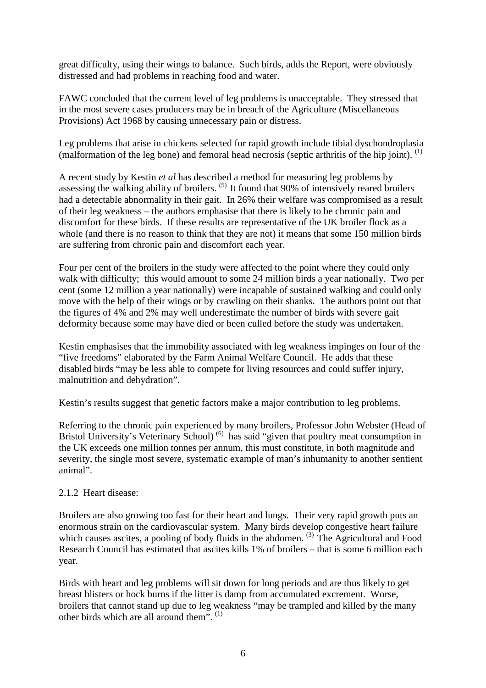great difficulty, using their wings to balance. Such birds, adds the Report, were obviously distressed and had problems in reaching food and water.

FAWC concluded that the current level of leg problems is unacceptable. They stressed that in the most severe cases producers may be in breach of the Agriculture (Miscellaneous Provisions) Act 1968 by causing unnecessary pain or distress.

Leg problems that arise in chickens selected for rapid growth include tibial dyschondroplasia (malformation of the leg bone) and femoral head necrosis (septic arthritis of the hip joint). <sup>(1)</sup>

A recent study by Kestin *et al* has described a method for measuring leg problems by assessing the walking ability of broilers.  $(5)$  It found that 90% of intensively reared broilers had a detectable abnormality in their gait. In 26% their welfare was compromised as a result of their leg weakness – the authors emphasise that there is likely to be chronic pain and discomfort for these birds. If these results are representative of the UK broiler flock as a whole (and there is no reason to think that they are not) it means that some 150 million birds are suffering from chronic pain and discomfort each year.

Four per cent of the broilers in the study were affected to the point where they could only walk with difficulty; this would amount to some 24 million birds a year nationally. Two per cent (some 12 million a year nationally) were incapable of sustained walking and could only move with the help of their wings or by crawling on their shanks. The authors point out that the figures of 4% and 2% may well underestimate the number of birds with severe gait deformity because some may have died or been culled before the study was undertaken.

Kestin emphasises that the immobility associated with leg weakness impinges on four of the "five freedoms" elaborated by the Farm Animal Welfare Council. He adds that these disabled birds "may be less able to compete for living resources and could suffer injury, malnutrition and dehydration".

Kestin's results suggest that genetic factors make a major contribution to leg problems.

Referring to the chronic pain experienced by many broilers, Professor John Webster (Head of Bristol University's Veterinary School)<sup>(6)</sup> has said "given that poultry meat consumption in the UK exceeds one million tonnes per annum, this must constitute, in both magnitude and severity, the single most severe, systematic example of man's inhumanity to another sentient animal".

## 2.1.2 Heart disease:

Broilers are also growing too fast for their heart and lungs. Their very rapid growth puts an enormous strain on the cardiovascular system. Many birds develop congestive heart failure which causes ascites, a pooling of body fluids in the abdomen.  $(3)$  The Agricultural and Food Research Council has estimated that ascites kills 1% of broilers – that is some 6 million each year.

Birds with heart and leg problems will sit down for long periods and are thus likely to get breast blisters or hock burns if the litter is damp from accumulated excrement. Worse, broilers that cannot stand up due to leg weakness "may be trampled and killed by the many other birds which are all around them".  $(1)$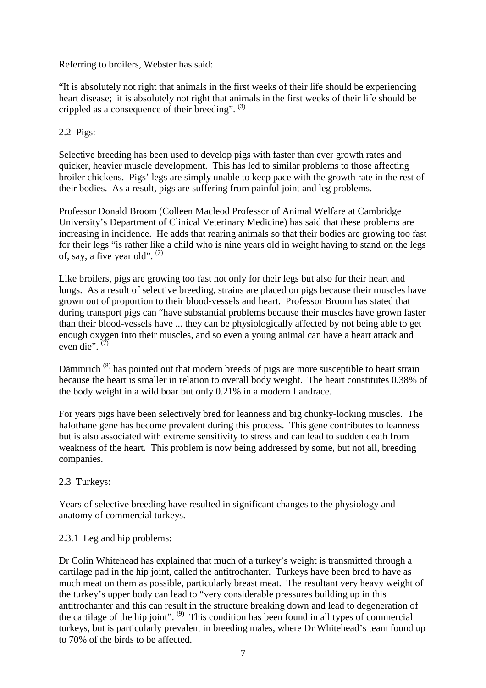## Referring to broilers, Webster has said:

"It is absolutely not right that animals in the first weeks of their life should be experiencing heart disease; it is absolutely not right that animals in the first weeks of their life should be crippled as a consequence of their breeding".  $(3)$ 

## 2.2 Pigs:

Selective breeding has been used to develop pigs with faster than ever growth rates and quicker, heavier muscle development. This has led to similar problems to those affecting broiler chickens. Pigs' legs are simply unable to keep pace with the growth rate in the rest of their bodies. As a result, pigs are suffering from painful joint and leg problems.

Professor Donald Broom (Colleen Macleod Professor of Animal Welfare at Cambridge University's Department of Clinical Veterinary Medicine) has said that these problems are increasing in incidence. He adds that rearing animals so that their bodies are growing too fast for their legs "is rather like a child who is nine years old in weight having to stand on the legs of, say, a five year old".  $(7)$ 

Like broilers, pigs are growing too fast not only for their legs but also for their heart and lungs. As a result of selective breeding, strains are placed on pigs because their muscles have grown out of proportion to their blood-vessels and heart. Professor Broom has stated that during transport pigs can "have substantial problems because their muscles have grown faster than their blood-vessels have ... they can be physiologically affected by not being able to get enough oxygen into their muscles, and so even a young animal can have a heart attack and even die".  $(7)$ 

Dämmrich<sup>(8)</sup> has pointed out that modern breeds of pigs are more susceptible to heart strain because the heart is smaller in relation to overall body weight. The heart constitutes 0.38% of the body weight in a wild boar but only 0.21% in a modern Landrace.

For years pigs have been selectively bred for leanness and big chunky-looking muscles. The halothane gene has become prevalent during this process. This gene contributes to leanness but is also associated with extreme sensitivity to stress and can lead to sudden death from weakness of the heart. This problem is now being addressed by some, but not all, breeding companies.

## 2.3 Turkeys:

Years of selective breeding have resulted in significant changes to the physiology and anatomy of commercial turkeys.

## 2.3.1 Leg and hip problems:

Dr Colin Whitehead has explained that much of a turkey's weight is transmitted through a cartilage pad in the hip joint, called the antitrochanter. Turkeys have been bred to have as much meat on them as possible, particularly breast meat. The resultant very heavy weight of the turkey's upper body can lead to "very considerable pressures building up in this antitrochanter and this can result in the structure breaking down and lead to degeneration of the cartilage of the hip joint".  $(9)$  This condition has been found in all types of commercial turkeys, but is particularly prevalent in breeding males, where Dr Whitehead's team found up to 70% of the birds to be affected.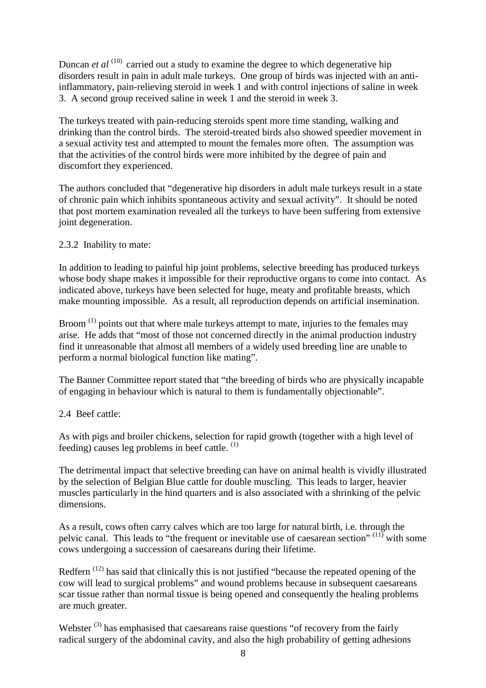Duncan *et al* <sup>(10)</sup> carried out a study to examine the degree to which degenerative hip disorders result in pain in adult male turkeys. One group of birds was injected with an antiinflammatory, pain-relieving steroid in week 1 and with control injections of saline in week 3. A second group received saline in week 1 and the steroid in week 3.

The turkeys treated with pain-reducing steroids spent more time standing, walking and drinking than the control birds. The steroid-treated birds also showed speedier movement in a sexual activity test and attempted to mount the females more often. The assumption was that the activities of the control birds were more inhibited by the degree of pain and discomfort they experienced.

The authors concluded that "degenerative hip disorders in adult male turkeys result in a state of chronic pain which inhibits spontaneous activity and sexual activity". It should be noted that post mortem examination revealed all the turkeys to have been suffering from extensive joint degeneration.

## 2.3.2 Inability to mate:

In addition to leading to painful hip joint problems, selective breeding has produced turkeys whose body shape makes it impossible for their reproductive organs to come into contact. As indicated above, turkeys have been selected for huge, meaty and profitable breasts, which make mounting impossible. As a result, all reproduction depends on artificial insemination.

Broom  $(1)$  points out that where male turkeys attempt to mate, injuries to the females may arise. He adds that "most of those not concerned directly in the animal production industry find it unreasonable that almost all members of a widely used breeding line are unable to perform a normal biological function like mating".

The Banner Committee report stated that "the breeding of birds who are physically incapable of engaging in behaviour which is natural to them is fundamentally objectionable".

## 2.4 Beef cattle:

As with pigs and broiler chickens, selection for rapid growth (together with a high level of feeding) causes leg problems in beef cattle.  $(1)$ 

The detrimental impact that selective breeding can have on animal health is vividly illustrated by the selection of Belgian Blue cattle for double muscling. This leads to larger, heavier muscles particularly in the hind quarters and is also associated with a shrinking of the pelvic dimensions.

As a result, cows often carry calves which are too large for natural birth, i.e. through the pelvic canal. This leads to "the frequent or inevitable use of caesarean section"  $(11)$  with some cows undergoing a succession of caesareans during their lifetime.

Redfern (12) has said that clinically this is not justified "because the repeated opening of the cow will lead to surgical problems" and wound problems because in subsequent caesareans scar tissue rather than normal tissue is being opened and consequently the healing problems are much greater.

Webster<sup>(3)</sup> has emphasised that caesareans raise questions "of recovery from the fairly radical surgery of the abdominal cavity, and also the high probability of getting adhesions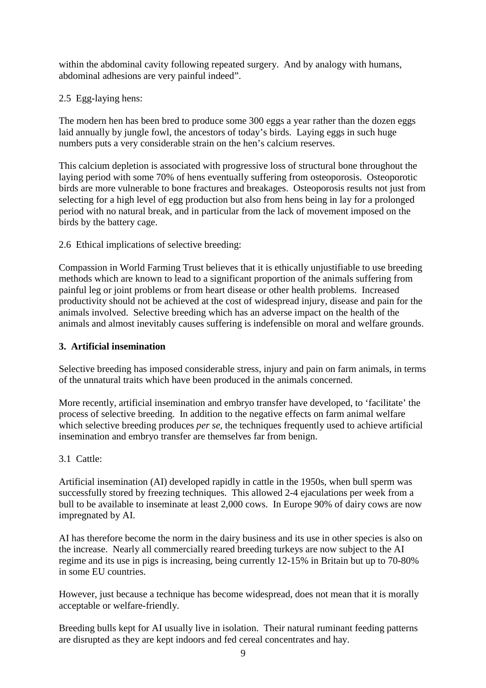within the abdominal cavity following repeated surgery. And by analogy with humans, abdominal adhesions are very painful indeed".

## 2.5 Egg-laying hens:

The modern hen has been bred to produce some 300 eggs a year rather than the dozen eggs laid annually by jungle fowl, the ancestors of today's birds. Laying eggs in such huge numbers puts a very considerable strain on the hen's calcium reserves.

This calcium depletion is associated with progressive loss of structural bone throughout the laying period with some 70% of hens eventually suffering from osteoporosis. Osteoporotic birds are more vulnerable to bone fractures and breakages. Osteoporosis results not just from selecting for a high level of egg production but also from hens being in lay for a prolonged period with no natural break, and in particular from the lack of movement imposed on the birds by the battery cage.

2.6 Ethical implications of selective breeding:

Compassion in World Farming Trust believes that it is ethically unjustifiable to use breeding methods which are known to lead to a significant proportion of the animals suffering from painful leg or joint problems or from heart disease or other health problems. Increased productivity should not be achieved at the cost of widespread injury, disease and pain for the animals involved. Selective breeding which has an adverse impact on the health of the animals and almost inevitably causes suffering is indefensible on moral and welfare grounds.

#### **3. Artificial insemination**

Selective breeding has imposed considerable stress, injury and pain on farm animals, in terms of the unnatural traits which have been produced in the animals concerned.

More recently, artificial insemination and embryo transfer have developed, to 'facilitate' the process of selective breeding. In addition to the negative effects on farm animal welfare which selective breeding produces *per se*, the techniques frequently used to achieve artificial insemination and embryo transfer are themselves far from benign.

#### 3.1 Cattle:

Artificial insemination (AI) developed rapidly in cattle in the 1950s, when bull sperm was successfully stored by freezing techniques. This allowed 2-4 ejaculations per week from a bull to be available to inseminate at least 2,000 cows. In Europe 90% of dairy cows are now impregnated by AI.

AI has therefore become the norm in the dairy business and its use in other species is also on the increase. Nearly all commercially reared breeding turkeys are now subject to the AI regime and its use in pigs is increasing, being currently 12-15% in Britain but up to 70-80% in some EU countries.

However, just because a technique has become widespread, does not mean that it is morally acceptable or welfare-friendly.

Breeding bulls kept for AI usually live in isolation. Their natural ruminant feeding patterns are disrupted as they are kept indoors and fed cereal concentrates and hay.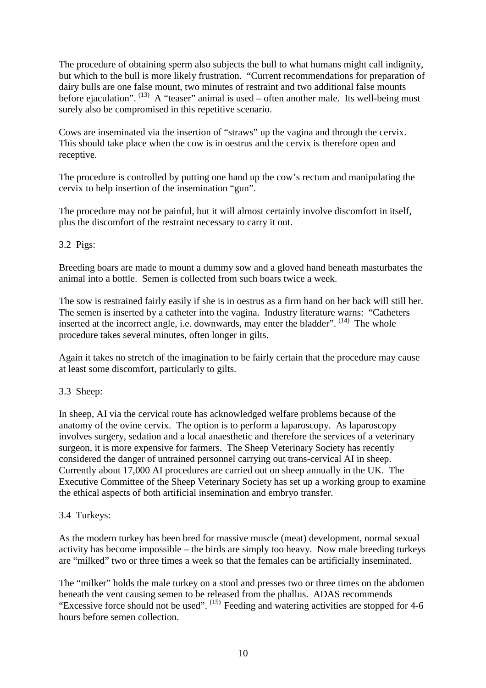The procedure of obtaining sperm also subjects the bull to what humans might call indignity, but which to the bull is more likely frustration. "Current recommendations for preparation of dairy bulls are one false mount, two minutes of restraint and two additional false mounts before ejaculation".  $^{(13)}$  A "teaser" animal is used – often another male. Its well-being must surely also be compromised in this repetitive scenario.

Cows are inseminated via the insertion of "straws" up the vagina and through the cervix. This should take place when the cow is in oestrus and the cervix is therefore open and receptive.

The procedure is controlled by putting one hand up the cow's rectum and manipulating the cervix to help insertion of the insemination "gun".

The procedure may not be painful, but it will almost certainly involve discomfort in itself, plus the discomfort of the restraint necessary to carry it out.

## 3.2 Pigs:

Breeding boars are made to mount a dummy sow and a gloved hand beneath masturbates the animal into a bottle. Semen is collected from such boars twice a week.

The sow is restrained fairly easily if she is in oestrus as a firm hand on her back will still her. The semen is inserted by a catheter into the vagina. Industry literature warns: "Catheters inserted at the incorrect angle, i.e. downwards, may enter the bladder". <sup>(14)</sup> The whole procedure takes several minutes, often longer in gilts.

Again it takes no stretch of the imagination to be fairly certain that the procedure may cause at least some discomfort, particularly to gilts.

## 3.3 Sheep:

In sheep, AI via the cervical route has acknowledged welfare problems because of the anatomy of the ovine cervix. The option is to perform a laparoscopy. As laparoscopy involves surgery, sedation and a local anaesthetic and therefore the services of a veterinary surgeon, it is more expensive for farmers. The Sheep Veterinary Society has recently considered the danger of untrained personnel carrying out trans-cervical AI in sheep. Currently about 17,000 AI procedures are carried out on sheep annually in the UK. The Executive Committee of the Sheep Veterinary Society has set up a working group to examine the ethical aspects of both artificial insemination and embryo transfer.

## 3.4 Turkeys:

As the modern turkey has been bred for massive muscle (meat) development, normal sexual activity has become impossible – the birds are simply too heavy. Now male breeding turkeys are "milked" two or three times a week so that the females can be artificially inseminated.

The "milker" holds the male turkey on a stool and presses two or three times on the abdomen beneath the vent causing semen to be released from the phallus. ADAS recommends "Excessive force should not be used". (15) Feeding and watering activities are stopped for 4-6 hours before semen collection.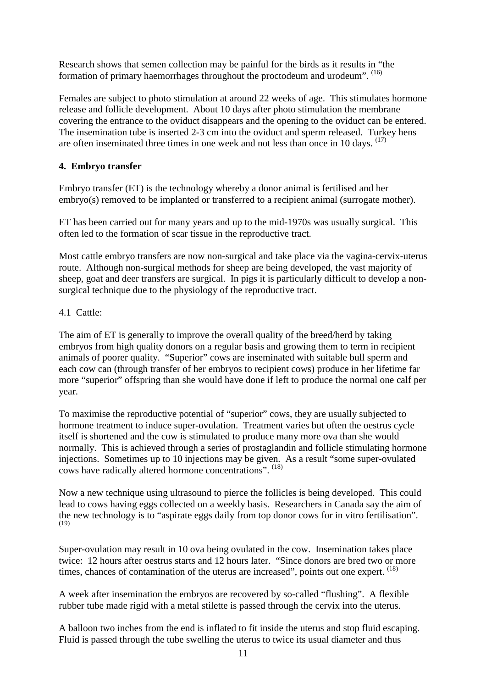Research shows that semen collection may be painful for the birds as it results in "the formation of primary haemorrhages throughout the proctodeum and urodeum". (16)

Females are subject to photo stimulation at around 22 weeks of age. This stimulates hormone release and follicle development. About 10 days after photo stimulation the membrane covering the entrance to the oviduct disappears and the opening to the oviduct can be entered. The insemination tube is inserted 2-3 cm into the oviduct and sperm released. Turkey hens are often inseminated three times in one week and not less than once in 10 days. (17)

# **4. Embryo transfer**

Embryo transfer (ET) is the technology whereby a donor animal is fertilised and her embryo(s) removed to be implanted or transferred to a recipient animal (surrogate mother).

ET has been carried out for many years and up to the mid-1970s was usually surgical. This often led to the formation of scar tissue in the reproductive tract.

Most cattle embryo transfers are now non-surgical and take place via the vagina-cervix-uterus route. Although non-surgical methods for sheep are being developed, the vast majority of sheep, goat and deer transfers are surgical. In pigs it is particularly difficult to develop a nonsurgical technique due to the physiology of the reproductive tract.

# 4.1 Cattle:

The aim of ET is generally to improve the overall quality of the breed/herd by taking embryos from high quality donors on a regular basis and growing them to term in recipient animals of poorer quality. "Superior" cows are inseminated with suitable bull sperm and each cow can (through transfer of her embryos to recipient cows) produce in her lifetime far more "superior" offspring than she would have done if left to produce the normal one calf per year.

To maximise the reproductive potential of "superior" cows, they are usually subjected to hormone treatment to induce super-ovulation. Treatment varies but often the oestrus cycle itself is shortened and the cow is stimulated to produce many more ova than she would normally. This is achieved through a series of prostaglandin and follicle stimulating hormone injections. Sometimes up to 10 injections may be given. As a result "some super-ovulated cows have radically altered hormone concentrations". (18)

Now a new technique using ultrasound to pierce the follicles is being developed. This could lead to cows having eggs collected on a weekly basis. Researchers in Canada say the aim of the new technology is to "aspirate eggs daily from top donor cows for in vitro fertilisation". (19)

Super-ovulation may result in 10 ova being ovulated in the cow. Insemination takes place twice: 12 hours after oestrus starts and 12 hours later. "Since donors are bred two or more times, chances of contamination of the uterus are increased", points out one expert. <sup>(18)</sup>

A week after insemination the embryos are recovered by so-called "flushing". A flexible rubber tube made rigid with a metal stilette is passed through the cervix into the uterus.

A balloon two inches from the end is inflated to fit inside the uterus and stop fluid escaping. Fluid is passed through the tube swelling the uterus to twice its usual diameter and thus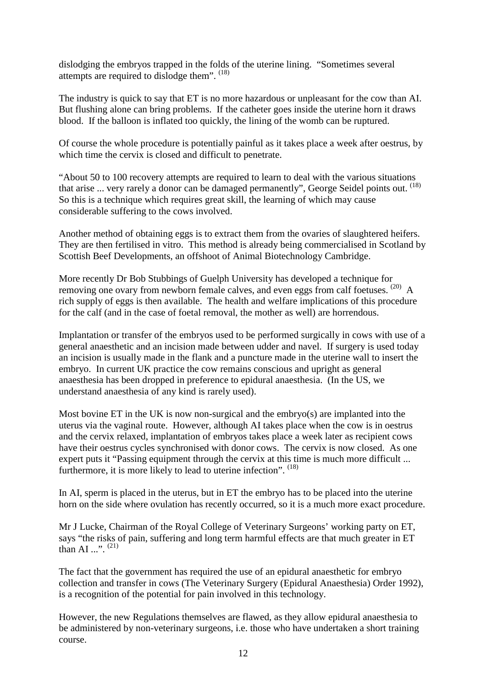dislodging the embryos trapped in the folds of the uterine lining. "Sometimes several attempts are required to dislodge them". (18)

The industry is quick to say that ET is no more hazardous or unpleasant for the cow than AI. But flushing alone can bring problems. If the catheter goes inside the uterine horn it draws blood. If the balloon is inflated too quickly, the lining of the womb can be ruptured.

Of course the whole procedure is potentially painful as it takes place a week after oestrus, by which time the cervix is closed and difficult to penetrate.

"About 50 to 100 recovery attempts are required to learn to deal with the various situations that arise ... very rarely a donor can be damaged permanently", George Seidel points out. <sup>(18)</sup> So this is a technique which requires great skill, the learning of which may cause considerable suffering to the cows involved.

Another method of obtaining eggs is to extract them from the ovaries of slaughtered heifers. They are then fertilised in vitro. This method is already being commercialised in Scotland by Scottish Beef Developments, an offshoot of Animal Biotechnology Cambridge.

More recently Dr Bob Stubbings of Guelph University has developed a technique for removing one ovary from newborn female calves, and even eggs from calf foetuses. (20) A rich supply of eggs is then available. The health and welfare implications of this procedure for the calf (and in the case of foetal removal, the mother as well) are horrendous.

Implantation or transfer of the embryos used to be performed surgically in cows with use of a general anaesthetic and an incision made between udder and navel. If surgery is used today an incision is usually made in the flank and a puncture made in the uterine wall to insert the embryo. In current UK practice the cow remains conscious and upright as general anaesthesia has been dropped in preference to epidural anaesthesia. (In the US, we understand anaesthesia of any kind is rarely used).

Most bovine ET in the UK is now non-surgical and the embryo(s) are implanted into the uterus via the vaginal route. However, although AI takes place when the cow is in oestrus and the cervix relaxed, implantation of embryos takes place a week later as recipient cows have their oestrus cycles synchronised with donor cows. The cervix is now closed. As one expert puts it "Passing equipment through the cervix at this time is much more difficult ... furthermore, it is more likely to lead to uterine infection". <sup>(18)</sup>

In AI, sperm is placed in the uterus, but in ET the embryo has to be placed into the uterine horn on the side where ovulation has recently occurred, so it is a much more exact procedure.

Mr J Lucke, Chairman of the Royal College of Veterinary Surgeons' working party on ET, says "the risks of pain, suffering and long term harmful effects are that much greater in ET than AI  $\cdots$ <sup>(21)</sup>

The fact that the government has required the use of an epidural anaesthetic for embryo collection and transfer in cows (The Veterinary Surgery (Epidural Anaesthesia) Order 1992), is a recognition of the potential for pain involved in this technology.

However, the new Regulations themselves are flawed, as they allow epidural anaesthesia to be administered by non-veterinary surgeons, i.e. those who have undertaken a short training course.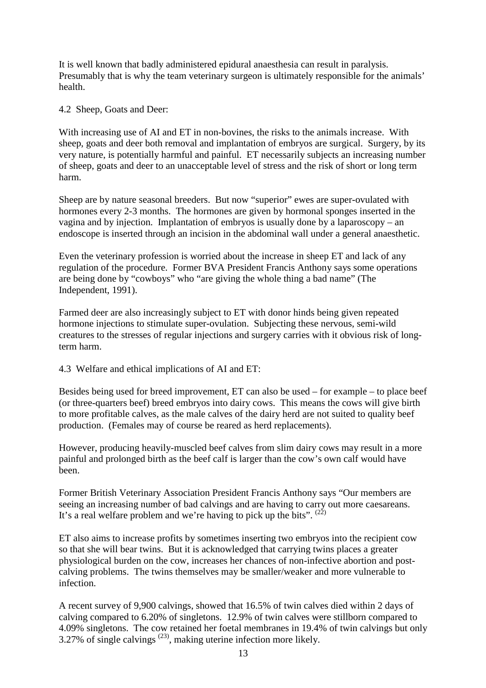It is well known that badly administered epidural anaesthesia can result in paralysis. Presumably that is why the team veterinary surgeon is ultimately responsible for the animals' health.

4.2 Sheep, Goats and Deer:

With increasing use of AI and ET in non-bovines, the risks to the animals increase. With sheep, goats and deer both removal and implantation of embryos are surgical. Surgery, by its very nature, is potentially harmful and painful. ET necessarily subjects an increasing number of sheep, goats and deer to an unacceptable level of stress and the risk of short or long term harm.

Sheep are by nature seasonal breeders. But now "superior" ewes are super-ovulated with hormones every 2-3 months. The hormones are given by hormonal sponges inserted in the vagina and by injection. Implantation of embryos is usually done by a laparoscopy – an endoscope is inserted through an incision in the abdominal wall under a general anaesthetic.

Even the veterinary profession is worried about the increase in sheep ET and lack of any regulation of the procedure. Former BVA President Francis Anthony says some operations are being done by "cowboys" who "are giving the whole thing a bad name" (The Independent, 1991).

Farmed deer are also increasingly subject to ET with donor hinds being given repeated hormone injections to stimulate super-ovulation. Subjecting these nervous, semi-wild creatures to the stresses of regular injections and surgery carries with it obvious risk of longterm harm.

4.3 Welfare and ethical implications of AI and ET:

Besides being used for breed improvement, ET can also be used – for example – to place beef (or three-quarters beef) breed embryos into dairy cows. This means the cows will give birth to more profitable calves, as the male calves of the dairy herd are not suited to quality beef production. (Females may of course be reared as herd replacements).

However, producing heavily-muscled beef calves from slim dairy cows may result in a more painful and prolonged birth as the beef calf is larger than the cow's own calf would have been.

Former British Veterinary Association President Francis Anthony says "Our members are seeing an increasing number of bad calvings and are having to carry out more caesareans. It's a real welfare problem and we're having to pick up the bits".  $(2^2)$ 

ET also aims to increase profits by sometimes inserting two embryos into the recipient cow so that she will bear twins. But it is acknowledged that carrying twins places a greater physiological burden on the cow, increases her chances of non-infective abortion and postcalving problems. The twins themselves may be smaller/weaker and more vulnerable to infection.

A recent survey of 9,900 calvings, showed that 16.5% of twin calves died within 2 days of calving compared to 6.20% of singletons. 12.9% of twin calves were stillborn compared to 4.09% singletons. The cow retained her foetal membranes in 19.4% of twin calvings but only 3.27% of single calvings  $(23)$ , making uterine infection more likely.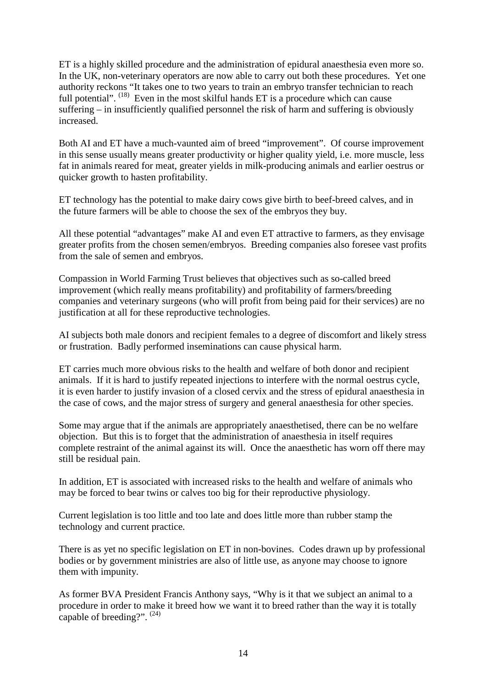ET is a highly skilled procedure and the administration of epidural anaesthesia even more so. In the UK, non-veterinary operators are now able to carry out both these procedures. Yet one authority reckons "It takes one to two years to train an embryo transfer technician to reach full potential". <sup>(18)</sup> Even in the most skilful hands ET is a procedure which can cause suffering – in insufficiently qualified personnel the risk of harm and suffering is obviously increased.

Both AI and ET have a much-vaunted aim of breed "improvement". Of course improvement in this sense usually means greater productivity or higher quality yield, i.e. more muscle, less fat in animals reared for meat, greater yields in milk-producing animals and earlier oestrus or quicker growth to hasten profitability.

ET technology has the potential to make dairy cows give birth to beef-breed calves, and in the future farmers will be able to choose the sex of the embryos they buy.

All these potential "advantages" make AI and even ET attractive to farmers, as they envisage greater profits from the chosen semen/embryos. Breeding companies also foresee vast profits from the sale of semen and embryos.

Compassion in World Farming Trust believes that objectives such as so-called breed improvement (which really means profitability) and profitability of farmers/breeding companies and veterinary surgeons (who will profit from being paid for their services) are no justification at all for these reproductive technologies.

AI subjects both male donors and recipient females to a degree of discomfort and likely stress or frustration. Badly performed inseminations can cause physical harm.

ET carries much more obvious risks to the health and welfare of both donor and recipient animals. If it is hard to justify repeated injections to interfere with the normal oestrus cycle, it is even harder to justify invasion of a closed cervix and the stress of epidural anaesthesia in the case of cows, and the major stress of surgery and general anaesthesia for other species.

Some may argue that if the animals are appropriately anaesthetised, there can be no welfare objection. But this is to forget that the administration of anaesthesia in itself requires complete restraint of the animal against its will. Once the anaesthetic has worn off there may still be residual pain.

In addition, ET is associated with increased risks to the health and welfare of animals who may be forced to bear twins or calves too big for their reproductive physiology.

Current legislation is too little and too late and does little more than rubber stamp the technology and current practice.

There is as yet no specific legislation on ET in non-bovines. Codes drawn up by professional bodies or by government ministries are also of little use, as anyone may choose to ignore them with impunity.

As former BVA President Francis Anthony says, "Why is it that we subject an animal to a procedure in order to make it breed how we want it to breed rather than the way it is totally capable of breeding?".<sup>(24)</sup>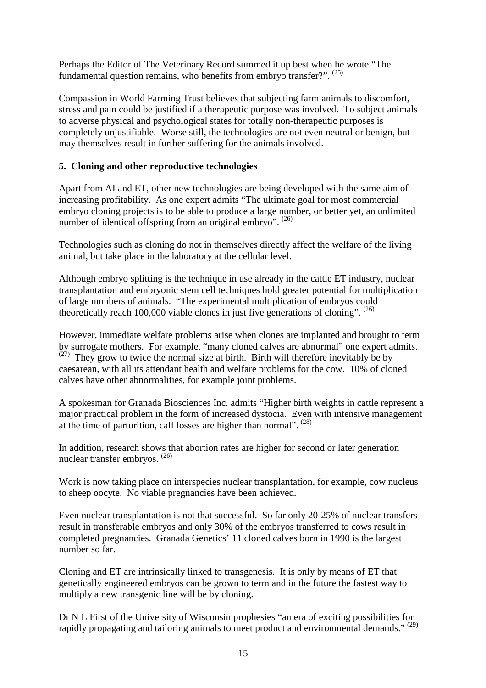Perhaps the Editor of The Veterinary Record summed it up best when he wrote "The fundamental question remains, who benefits from embryo transfer?". (25)

Compassion in World Farming Trust believes that subjecting farm animals to discomfort, stress and pain could be justified if a therapeutic purpose was involved. To subject animals to adverse physical and psychological states for totally non-therapeutic purposes is completely unjustifiable. Worse still, the technologies are not even neutral or benign, but may themselves result in further suffering for the animals involved.

## **5. Cloning and other reproductive technologies**

Apart from AI and ET, other new technologies are being developed with the same aim of increasing profitability. As one expert admits "The ultimate goal for most commercial embryo cloning projects is to be able to produce a large number, or better yet, an unlimited number of identical offspring from an original embryo". <sup>(26)</sup>

Technologies such as cloning do not in themselves directly affect the welfare of the living animal, but take place in the laboratory at the cellular level.

Although embryo splitting is the technique in use already in the cattle ET industry, nuclear transplantation and embryonic stem cell techniques hold greater potential for multiplication of large numbers of animals. "The experimental multiplication of embryos could theoretically reach 100,000 viable clones in just five generations of cloning".  $^{(26)}$ 

However, immediate welfare problems arise when clones are implanted and brought to term by surrogate mothers. For example, "many cloned calves are abnormal" one expert admits.  $(27)$  They grow to twice the normal size at birth. Birth will therefore inevitably be by caesarean, with all its attendant health and welfare problems for the cow. 10% of cloned calves have other abnormalities, for example joint problems.

A spokesman for Granada Biosciences Inc. admits "Higher birth weights in cattle represent a major practical problem in the form of increased dystocia. Even with intensive management at the time of parturition, calf losses are higher than normal". (28)

In addition, research shows that abortion rates are higher for second or later generation nuclear transfer embryos. (26)

Work is now taking place on interspecies nuclear transplantation, for example, cow nucleus to sheep oocyte. No viable pregnancies have been achieved.

Even nuclear transplantation is not that successful. So far only 20-25% of nuclear transfers result in transferable embryos and only 30% of the embryos transferred to cows result in completed pregnancies. Granada Genetics' 11 cloned calves born in 1990 is the largest number so far.

Cloning and ET are intrinsically linked to transgenesis. It is only by means of ET that genetically engineered embryos can be grown to term and in the future the fastest way to multiply a new transgenic line will be by cloning.

Dr N L First of the University of Wisconsin prophesies "an era of exciting possibilities for rapidly propagating and tailoring animals to meet product and environmental demands."<sup>(29)</sup>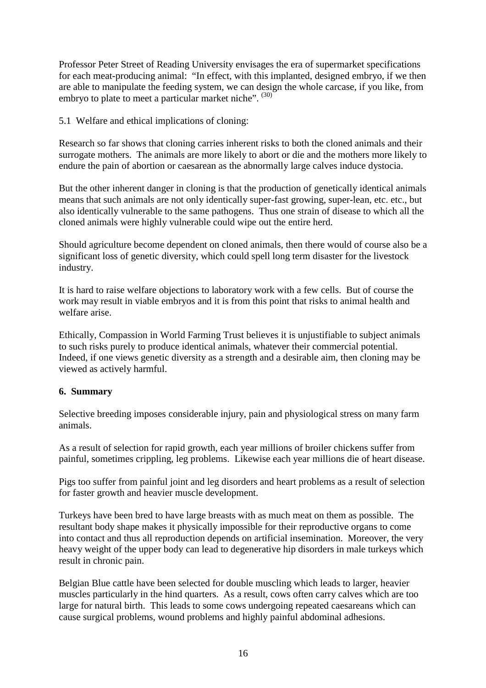Professor Peter Street of Reading University envisages the era of supermarket specifications for each meat-producing animal: "In effect, with this implanted, designed embryo, if we then are able to manipulate the feeding system, we can design the whole carcase, if you like, from embryo to plate to meet a particular market niche". (30)

5.1 Welfare and ethical implications of cloning:

Research so far shows that cloning carries inherent risks to both the cloned animals and their surrogate mothers. The animals are more likely to abort or die and the mothers more likely to endure the pain of abortion or caesarean as the abnormally large calves induce dystocia.

But the other inherent danger in cloning is that the production of genetically identical animals means that such animals are not only identically super-fast growing, super-lean, etc. etc., but also identically vulnerable to the same pathogens. Thus one strain of disease to which all the cloned animals were highly vulnerable could wipe out the entire herd.

Should agriculture become dependent on cloned animals, then there would of course also be a significant loss of genetic diversity, which could spell long term disaster for the livestock industry.

It is hard to raise welfare objections to laboratory work with a few cells. But of course the work may result in viable embryos and it is from this point that risks to animal health and welfare arise.

Ethically, Compassion in World Farming Trust believes it is unjustifiable to subject animals to such risks purely to produce identical animals, whatever their commercial potential. Indeed, if one views genetic diversity as a strength and a desirable aim, then cloning may be viewed as actively harmful.

## **6. Summary**

Selective breeding imposes considerable injury, pain and physiological stress on many farm animals.

As a result of selection for rapid growth, each year millions of broiler chickens suffer from painful, sometimes crippling, leg problems. Likewise each year millions die of heart disease.

Pigs too suffer from painful joint and leg disorders and heart problems as a result of selection for faster growth and heavier muscle development.

Turkeys have been bred to have large breasts with as much meat on them as possible. The resultant body shape makes it physically impossible for their reproductive organs to come into contact and thus all reproduction depends on artificial insemination. Moreover, the very heavy weight of the upper body can lead to degenerative hip disorders in male turkeys which result in chronic pain.

Belgian Blue cattle have been selected for double muscling which leads to larger, heavier muscles particularly in the hind quarters. As a result, cows often carry calves which are too large for natural birth. This leads to some cows undergoing repeated caesareans which can cause surgical problems, wound problems and highly painful abdominal adhesions.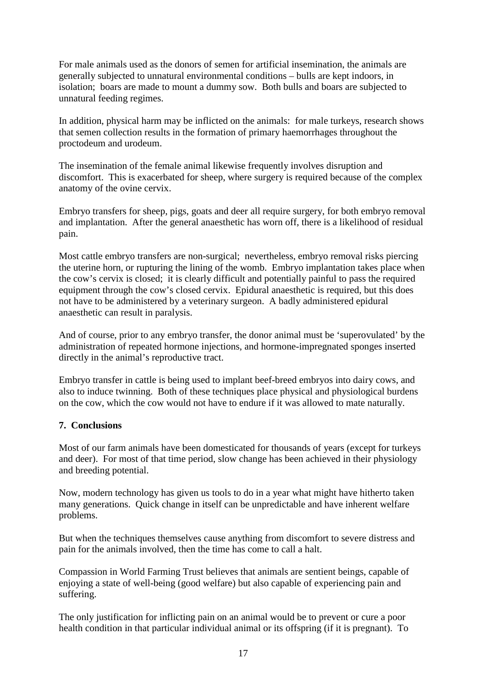For male animals used as the donors of semen for artificial insemination, the animals are generally subjected to unnatural environmental conditions – bulls are kept indoors, in isolation; boars are made to mount a dummy sow. Both bulls and boars are subjected to unnatural feeding regimes.

In addition, physical harm may be inflicted on the animals: for male turkeys, research shows that semen collection results in the formation of primary haemorrhages throughout the proctodeum and urodeum.

The insemination of the female animal likewise frequently involves disruption and discomfort. This is exacerbated for sheep, where surgery is required because of the complex anatomy of the ovine cervix.

Embryo transfers for sheep, pigs, goats and deer all require surgery, for both embryo removal and implantation. After the general anaesthetic has worn off, there is a likelihood of residual pain.

Most cattle embryo transfers are non-surgical; nevertheless, embryo removal risks piercing the uterine horn, or rupturing the lining of the womb. Embryo implantation takes place when the cow's cervix is closed; it is clearly difficult and potentially painful to pass the required equipment through the cow's closed cervix. Epidural anaesthetic is required, but this does not have to be administered by a veterinary surgeon. A badly administered epidural anaesthetic can result in paralysis.

And of course, prior to any embryo transfer, the donor animal must be 'superovulated' by the administration of repeated hormone injections, and hormone-impregnated sponges inserted directly in the animal's reproductive tract.

Embryo transfer in cattle is being used to implant beef-breed embryos into dairy cows, and also to induce twinning. Both of these techniques place physical and physiological burdens on the cow, which the cow would not have to endure if it was allowed to mate naturally.

## **7. Conclusions**

Most of our farm animals have been domesticated for thousands of years (except for turkeys and deer). For most of that time period, slow change has been achieved in their physiology and breeding potential.

Now, modern technology has given us tools to do in a year what might have hitherto taken many generations. Quick change in itself can be unpredictable and have inherent welfare problems.

But when the techniques themselves cause anything from discomfort to severe distress and pain for the animals involved, then the time has come to call a halt.

Compassion in World Farming Trust believes that animals are sentient beings, capable of enjoying a state of well-being (good welfare) but also capable of experiencing pain and suffering.

The only justification for inflicting pain on an animal would be to prevent or cure a poor health condition in that particular individual animal or its offspring (if it is pregnant). To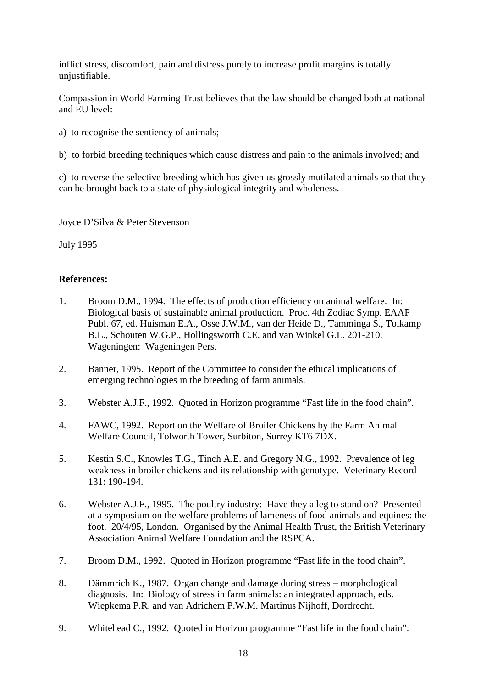inflict stress, discomfort, pain and distress purely to increase profit margins is totally unjustifiable.

Compassion in World Farming Trust believes that the law should be changed both at national and EU level:

- a) to recognise the sentiency of animals;
- b) to forbid breeding techniques which cause distress and pain to the animals involved; and

c) to reverse the selective breeding which has given us grossly mutilated animals so that they can be brought back to a state of physiological integrity and wholeness.

Joyce D'Silva & Peter Stevenson

July 1995

## **References:**

- 1. Broom D.M., 1994. The effects of production efficiency on animal welfare. In: Biological basis of sustainable animal production. Proc. 4th Zodiac Symp. EAAP Publ. 67, ed. Huisman E.A., Osse J.W.M., van der Heide D., Tamminga S., Tolkamp B.L., Schouten W.G.P., Hollingsworth C.E. and van Winkel G.L. 201-210. Wageningen: Wageningen Pers.
- 2. Banner, 1995. Report of the Committee to consider the ethical implications of emerging technologies in the breeding of farm animals.
- 3. Webster A.J.F., 1992. Quoted in Horizon programme "Fast life in the food chain".
- 4. FAWC, 1992. Report on the Welfare of Broiler Chickens by the Farm Animal Welfare Council, Tolworth Tower, Surbiton, Surrey KT6 7DX.
- 5. Kestin S.C., Knowles T.G., Tinch A.E. and Gregory N.G., 1992. Prevalence of leg weakness in broiler chickens and its relationship with genotype. Veterinary Record 131: 190-194.
- 6. Webster A.J.F., 1995. The poultry industry: Have they a leg to stand on? Presented at a symposium on the welfare problems of lameness of food animals and equines: the foot. 20/4/95, London. Organised by the Animal Health Trust, the British Veterinary Association Animal Welfare Foundation and the RSPCA.
- 7. Broom D.M., 1992. Quoted in Horizon programme "Fast life in the food chain".
- 8. Dämmrich K., 1987. Organ change and damage during stress morphological diagnosis. In: Biology of stress in farm animals: an integrated approach, eds. Wiepkema P.R. and van Adrichem P.W.M. Martinus Nijhoff, Dordrecht.
- 9. Whitehead C., 1992. Quoted in Horizon programme "Fast life in the food chain".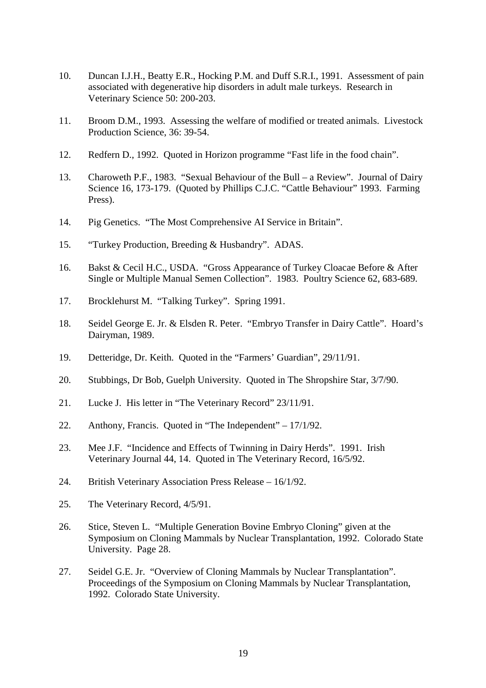- 10. Duncan I.J.H., Beatty E.R., Hocking P.M. and Duff S.R.I., 1991. Assessment of pain associated with degenerative hip disorders in adult male turkeys. Research in Veterinary Science 50: 200-203.
- 11. Broom D.M., 1993. Assessing the welfare of modified or treated animals. Livestock Production Science, 36: 39-54.
- 12. Redfern D., 1992. Quoted in Horizon programme "Fast life in the food chain".
- 13. Charoweth P.F., 1983. "Sexual Behaviour of the Bull a Review". Journal of Dairy Science 16, 173-179. (Quoted by Phillips C.J.C. "Cattle Behaviour" 1993. Farming Press).
- 14. Pig Genetics. "The Most Comprehensive AI Service in Britain".
- 15. "Turkey Production, Breeding & Husbandry". ADAS.
- 16. Bakst & Cecil H.C., USDA. "Gross Appearance of Turkey Cloacae Before & After Single or Multiple Manual Semen Collection". 1983. Poultry Science 62, 683-689.
- 17. Brocklehurst M. "Talking Turkey". Spring 1991.
- 18. Seidel George E. Jr. & Elsden R. Peter. "Embryo Transfer in Dairy Cattle". Hoard's Dairyman, 1989.
- 19. Detteridge, Dr. Keith. Quoted in the "Farmers' Guardian", 29/11/91.
- 20. Stubbings, Dr Bob, Guelph University. Quoted in The Shropshire Star, 3/7/90.
- 21. Lucke J. His letter in "The Veterinary Record" 23/11/91.
- 22. Anthony, Francis. Quoted in "The Independent" 17/1/92.
- 23. Mee J.F. "Incidence and Effects of Twinning in Dairy Herds". 1991. Irish Veterinary Journal 44, 14. Quoted in The Veterinary Record, 16/5/92.
- 24. British Veterinary Association Press Release 16/1/92.
- 25. The Veterinary Record, 4/5/91.
- 26. Stice, Steven L. "Multiple Generation Bovine Embryo Cloning" given at the Symposium on Cloning Mammals by Nuclear Transplantation, 1992. Colorado State University. Page 28.
- 27. Seidel G.E. Jr. "Overview of Cloning Mammals by Nuclear Transplantation". Proceedings of the Symposium on Cloning Mammals by Nuclear Transplantation, 1992. Colorado State University.